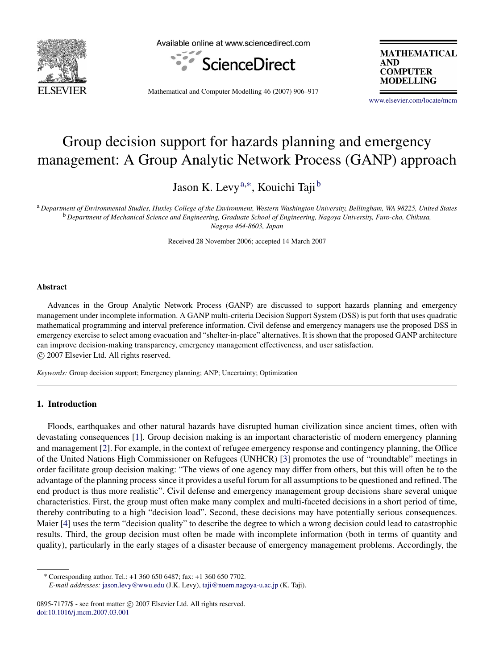

Available online at www.sciencedirect.com



**MATHEMATICAL AND COMPUTER MODELLING** 

Mathematical and Computer Modelling 46 (2007) 906–917

[www.elsevier.com/locate/mcm](http://www.elsevier.com/locate/mcm)

# Group decision support for hazards planning and emergency management: A Group Analytic Network Process (GANP) approach

Jason K. Levy<sup>[a,](#page-0-0)[∗](#page-0-1)</sup>, Kouichi Taji<sup>[b](#page-0-2)</sup>

<span id="page-0-2"></span><span id="page-0-0"></span><sup>a</sup> *Department of Environmental Studies, Huxley College of the Environment, Western Washington University, Bellingham, WA 98225, United States* <sup>b</sup> *Department of Mechanical Science and Engineering, Graduate School of Engineering, Nagoya University, Furo-cho, Chikusa, Nagoya 464-8603, Japan*

Received 28 November 2006; accepted 14 March 2007

### Abstract

Advances in the Group Analytic Network Process (GANP) are discussed to support hazards planning and emergency management under incomplete information. A GANP multi-criteria Decision Support System (DSS) is put forth that uses quadratic mathematical programming and interval preference information. Civil defense and emergency managers use the proposed DSS in emergency exercise to select among evacuation and "shelter-in-place" alternatives. It is shown that the proposed GANP architecture can improve decision-making transparency, emergency management effectiveness, and user satisfaction. c 2007 Elsevier Ltd. All rights reserved.

*Keywords:* Group decision support; Emergency planning; ANP; Uncertainty; Optimization

## 1. Introduction

Floods, earthquakes and other natural hazards have disrupted human civilization since ancient times, often with devastating consequences [\[1\]](#page--1-0). Group decision making is an important characteristic of modern emergency planning and management [\[2\]](#page--1-1). For example, in the context of refugee emergency response and contingency planning, the Office of the United Nations High Commissioner on Refugees (UNHCR) [\[3\]](#page--1-2) promotes the use of "roundtable" meetings in order facilitate group decision making: "The views of one agency may differ from others, but this will often be to the advantage of the planning process since it provides a useful forum for all assumptions to be questioned and refined. The end product is thus more realistic". Civil defense and emergency management group decisions share several unique characteristics. First, the group must often make many complex and multi-faceted decisions in a short period of time, thereby contributing to a high "decision load". Second, these decisions may have potentially serious consequences. Maier [\[4\]](#page--1-3) uses the term "decision quality" to describe the degree to which a wrong decision could lead to catastrophic results. Third, the group decision must often be made with incomplete information (both in terms of quantity and quality), particularly in the early stages of a disaster because of emergency management problems. Accordingly, the

<span id="page-0-1"></span><sup>∗</sup> Corresponding author. Tel.: +1 360 650 6487; fax: +1 360 650 7702.

*E-mail addresses:* [jason.levy@wwu.edu](mailto:jason.levy@wwu.edu) (J.K. Levy), [taji@nuem.nagoya-u.ac.jp](mailto:taji@nuem.nagoya-u.ac.jp) (K. Taji).

<sup>0895-7177/\$ -</sup> see front matter © 2007 Elsevier Ltd. All rights reserved. [doi:10.1016/j.mcm.2007.03.001](http://dx.doi.org/10.1016/j.mcm.2007.03.001)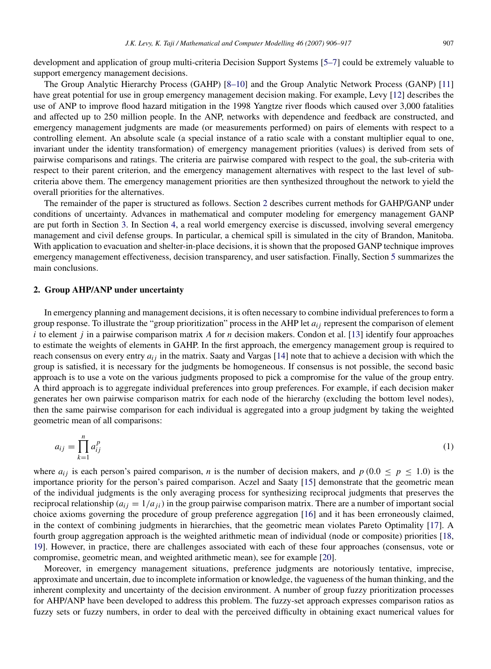development and application of group multi-criteria Decision Support Systems [\[5–7\]](#page--1-4) could be extremely valuable to support emergency management decisions.

The Group Analytic Hierarchy Process (GAHP) [\[8–10\]](#page--1-5) and the Group Analytic Network Process (GANP) [\[11\]](#page--1-6) have great potential for use in group emergency management decision making. For example, Levy [\[12\]](#page--1-7) describes the use of ANP to improve flood hazard mitigation in the 1998 Yangtze river floods which caused over 3,000 fatalities and affected up to 250 million people. In the ANP, networks with dependence and feedback are constructed, and emergency management judgments are made (or measurements performed) on pairs of elements with respect to a controlling element. An absolute scale (a special instance of a ratio scale with a constant multiplier equal to one, invariant under the identity transformation) of emergency management priorities (values) is derived from sets of pairwise comparisons and ratings. The criteria are pairwise compared with respect to the goal, the sub-criteria with respect to their parent criterion, and the emergency management alternatives with respect to the last level of subcriteria above them. The emergency management priorities are then synthesized throughout the network to yield the overall priorities for the alternatives.

The remainder of the paper is structured as follows. Section [2](#page-1-0) describes current methods for GAHP/GANP under conditions of uncertainty. Advances in mathematical and computer modeling for emergency management GANP are put forth in Section [3.](#page--1-8) In Section [4,](#page--1-9) a real world emergency exercise is discussed, involving several emergency management and civil defense groups. In particular, a chemical spill is simulated in the city of Brandon, Manitoba. With application to evacuation and shelter-in-place decisions, it is shown that the proposed GANP technique improves emergency management effectiveness, decision transparency, and user satisfaction. Finally, Section [5](#page--1-10) summarizes the main conclusions.

### <span id="page-1-0"></span>2. Group AHP/ANP under uncertainty

In emergency planning and management decisions, it is often necessary to combine individual preferences to form a group response. To illustrate the "group prioritization" process in the AHP let *ai j* represent the comparison of element *i* to element *j* in a pairwise comparison matrix *A* for *n* decision makers. Condon et al. [\[13\]](#page--1-11) identify four approaches to estimate the weights of elements in GAHP. In the first approach, the emergency management group is required to reach consensus on every entry  $a_{ij}$  in the matrix. Saaty and Vargas [\[14\]](#page--1-12) note that to achieve a decision with which the group is satisfied, it is necessary for the judgments be homogeneous. If consensus is not possible, the second basic approach is to use a vote on the various judgments proposed to pick a compromise for the value of the group entry. A third approach is to aggregate individual preferences into group preferences. For example, if each decision maker generates her own pairwise comparison matrix for each node of the hierarchy (excluding the bottom level nodes), then the same pairwise comparison for each individual is aggregated into a group judgment by taking the weighted geometric mean of all comparisons:

$$
a_{ij} = \prod_{k=1}^{n} a_{ij}^p \tag{1}
$$

where  $a_{ij}$  is each person's paired comparison, *n* is the number of decision makers, and  $p(0.0 \le p \le 1.0)$  is the importance priority for the person's paired comparison. Aczel and Saaty [\[15\]](#page--1-13) demonstrate that the geometric mean of the individual judgments is the only averaging process for synthesizing reciprocal judgments that preserves the reciprocal relationship  $(a_{ij} = 1/a_{ji})$  in the group pairwise comparison matrix. There are a number of important social choice axioms governing the procedure of group preference aggregation [\[16\]](#page--1-14) and it has been erroneously claimed, in the context of combining judgments in hierarchies, that the geometric mean violates Pareto Optimality [\[17\]](#page--1-15). A fourth group aggregation approach is the weighted arithmetic mean of individual (node or composite) priorities [\[18,](#page--1-16) [19\]](#page--1-17). However, in practice, there are challenges associated with each of these four approaches (consensus, vote or compromise, geometric mean, and weighted arithmetic mean), see for example [\[20\]](#page--1-18).

Moreover, in emergency management situations, preference judgments are notoriously tentative, imprecise, approximate and uncertain, due to incomplete information or knowledge, the vagueness of the human thinking, and the inherent complexity and uncertainty of the decision environment. A number of group fuzzy prioritization processes for AHP/ANP have been developed to address this problem. The fuzzy-set approach expresses comparison ratios as fuzzy sets or fuzzy numbers, in order to deal with the perceived difficulty in obtaining exact numerical values for